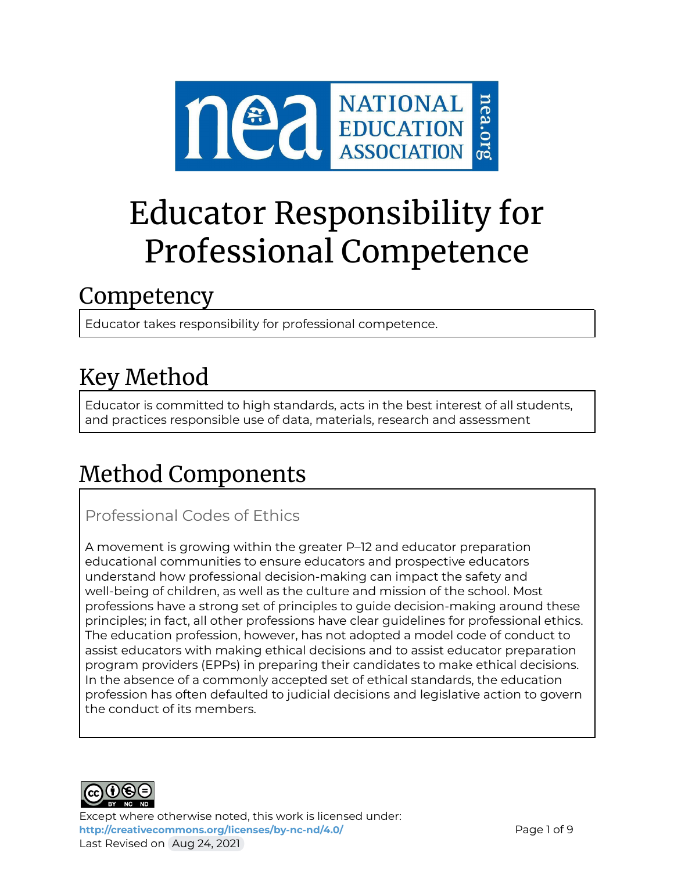

# Educator Responsibility for Professional Competence

### Competency

Educator takes responsibility for professional competence.

# Key Method

Educator is committed to high standards, acts in the best interest of all students, and practices responsible use of data, materials, research and assessment

# Method Components

Professional Codes of Ethics

A movement is growing within the greater P–12 and educator preparation educational communities to ensure educators and prospective educators understand how professional decision-making can impact the safety and well-being of children, as well as the culture and mission of the school. Most professions have a strong set of principles to guide decision-making around these principles; in fact, all other professions have clear guidelines for professional ethics. The education profession, however, has not adopted a model code of conduct to assist educators with making ethical decisions and to assist educator preparation program providers (EPPs) in preparing their candidates to make ethical decisions. In the absence of a commonly accepted set of ethical standards, the education profession has often defaulted to judicial decisions and legislative action to govern the conduct of its members.



Except where otherwise noted, this work is licensed under: <http://creativecommons.org/licenses/by-nc-nd/4.0/> **Page 1 of 9** Page 1 of 9 Last Revised on Aug 24, 2021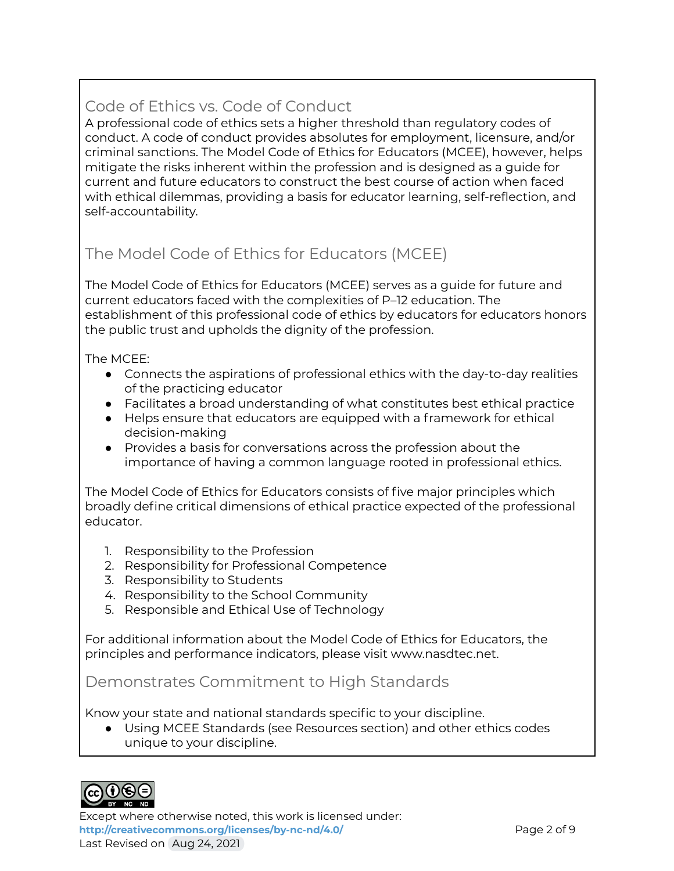### Code of Ethics vs. Code of Conduct

A professional code of ethics sets a higher threshold than regulatory codes of conduct. A code of conduct provides absolutes for employment, licensure, and/or criminal sanctions. The Model Code of Ethics for Educators (MCEE), however, helps mitigate the risks inherent within the profession and is designed as a guide for current and future educators to construct the best course of action when faced with ethical dilemmas, providing a basis for educator learning, self-reflection, and self-accountability.

### The Model Code of Ethics for Educators (MCEE)

The Model Code of Ethics for Educators (MCEE) serves as a guide for future and current educators faced with the complexities of P–12 education. The establishment of this professional code of ethics by educators for educators honors the public trust and upholds the dignity of the profession.

The MCEE:

- Connects the aspirations of professional ethics with the day-to-day realities of the practicing educator
- Facilitates a broad understanding of what constitutes best ethical practice
- Helps ensure that educators are equipped with a framework for ethical decision-making
- Provides a basis for conversations across the profession about the importance of having a common language rooted in professional ethics.

The Model Code of Ethics for Educators consists of five major principles which broadly define critical dimensions of ethical practice expected of the professional educator.

- 1. Responsibility to the Profession
- 2. Responsibility for Professional Competence
- 3. Responsibility to Students
- 4. Responsibility to the School Community
- 5. Responsible and Ethical Use of Technology

For additional information about the Model Code of Ethics for Educators, the principles and performance indicators, please visit www.nasdtec.net.

### Demonstrates Commitment to High Standards

Know your state and national standards specific to your discipline.

● Using MCEE Standards (see Resources section) and other ethics codes unique to your discipline.



Except where otherwise noted, this work is licensed under: **<http://creativecommons.org/licenses/by-nc-nd/4.0/>** Page 2 of 9 Last Revised on Aug 24, 2021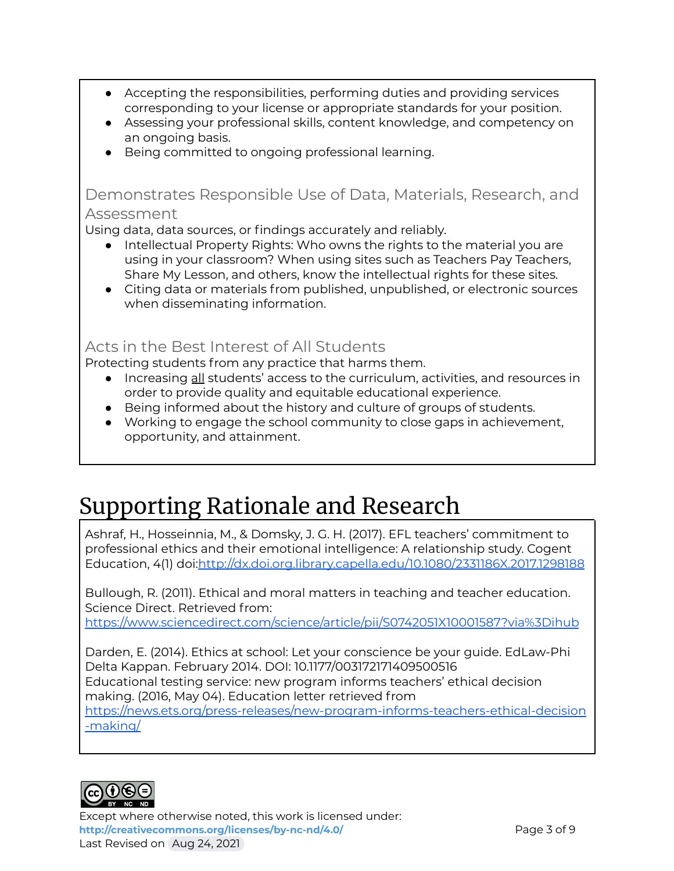- Accepting the responsibilities, performing duties and providing services corresponding to your license or appropriate standards for your position.
- Assessing your professional skills, content knowledge, and competency on an ongoing basis.
- Being committed to ongoing professional learning.

Demonstrates Responsible Use of Data, Materials, Research, and Assessment

Using data, data sources, or findings accurately and reliably.

- Intellectual Property Rights: Who owns the rights to the material you are using in your classroom? When using sites such as Teachers Pay Teachers, Share My Lesson, and others, know the intellectual rights for these sites.
- Citing data or materials from published, unpublished, or electronic sources when disseminating information.

### Acts in the Best Interest of All Students

Protecting students from any practice that harms them.

- Increasing all students' access to the curriculum, activities, and resources in order to provide quality and equitable educational experience.
- Being informed about the history and culture of groups of students.
- Working to engage the school community to close gaps in achievement, opportunity, and attainment.

## Supporting Rationale and Research

Ashraf, H., Hosseinnia, M., & Domsky, J. G. H. (2017). EFL teachers' commitment to professional ethics and their emotional intelligence: A relationship study. Cogent Education, 4(1) doi[:http://dx.doi.org.library.capella.edu/10.1080/2331186X.2017.1298188](http://dx.doi.org.library.capella.edu/10.1080/2331186X.2017.1298188)

Bullough, R. (2011). Ethical and moral matters in teaching and teacher education. Science Direct. Retrieved from:

<https://www.sciencedirect.com/science/article/pii/S0742051X10001587?via%3Dihub>

Darden, E. (2014). Ethics at school: Let your conscience be your guide. EdLaw-Phi Delta Kappan. February 2014. DOI: 10.1177/003172171409500516 Educational testing service: new program informs teachers' ethical decision making. (2016, May 04). Education letter retrieved from

[https://news.ets.org/press-releases/new-program-informs-teachers-ethical-decision](https://news.ets.org/press-releases/new-program-informs-teachers-ethical-decision-making/) [-making/](https://news.ets.org/press-releases/new-program-informs-teachers-ethical-decision-making/)



Except where otherwise noted, this work is licensed under: <http://creativecommons.org/licenses/by-nc-nd/4.0/> **Page 3 of 9** Last Revised on Aug 24, 2021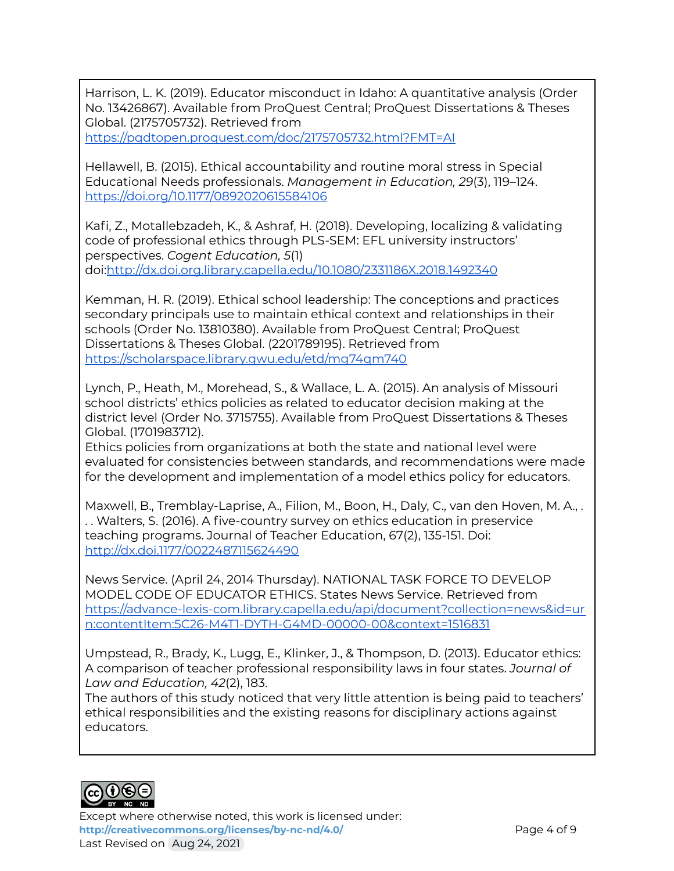Harrison, L. K. (2019). Educator misconduct in Idaho: A quantitative analysis (Order No. 13426867). Available from ProQuest Central; ProQuest Dissertations & Theses Global. (2175705732). Retrieved from

<https://pqdtopen.proquest.com/doc/2175705732.html?FMT=AI>

Hellawell, B. (2015). Ethical accountability and routine moral stress in Special Educational Needs professionals. *Management in Education, 29*(3), 119–124. <https://doi.org/10.1177/0892020615584106>

Kafi, Z., Motallebzadeh, K., & Ashraf, H. (2018). Developing, localizing & validating code of professional ethics through PLS-SEM: EFL university instructors' perspectives. *Cogent Education, 5*(1) doi:<http://dx.doi.org.library.capella.edu/10.1080/2331186X.2018.1492340>

Kemman, H. R. (2019). Ethical school leadership: The conceptions and practices secondary principals use to maintain ethical context and relationships in their schools (Order No. 13810380). Available from ProQuest Central; ProQuest Dissertations & Theses Global. (2201789195). Retrieved from <https://scholarspace.library.gwu.edu/etd/mg74qm740>

Lynch, P., Heath, M., Morehead, S., & Wallace, L. A. (2015). An analysis of Missouri school districts' ethics policies as related to educator decision making at the district level (Order No. 3715755). Available from ProQuest Dissertations & Theses Global. (1701983712).

Ethics policies from organizations at both the state and national level were evaluated for consistencies between standards, and recommendations were made for the development and implementation of a model ethics policy for educators.

Maxwell, B., Tremblay-Laprise, A., Filion, M., Boon, H., Daly, C., van den Hoven, M. A., . . . Walters, S. (2016). A five-country survey on ethics education in preservice teaching programs. Journal of Teacher Education, 67(2), 135-151. Doi: http://dx.doi.1177/0022487115624490

News Service. (April 24, 2014 Thursday). NATIONAL TASK FORCE TO DEVELOP MODEL CODE OF EDUCATOR ETHICS. States News Service. Retrieved from [https://advance-lexis-com.library.capella.edu/api/document?collection=news&id=ur](https://advance-lexis-com.library.capella.edu/api/document?collection=news&id=urn:contentItem:5C26-M4T1-DYTH-G4MD-00000-00&context=1516831) [n:contentItem:5C26-M4T1-DYTH-G4MD-00000-00&context=1516831](https://advance-lexis-com.library.capella.edu/api/document?collection=news&id=urn:contentItem:5C26-M4T1-DYTH-G4MD-00000-00&context=1516831)

Umpstead, R., Brady, K., Lugg, E., Klinker, J., & Thompson, D. (2013). Educator ethics: A comparison of teacher professional responsibility laws in four states. *Journal of Law and Education, 42*(2), 183.

The authors of this study noticed that very little attention is being paid to teachers' ethical responsibilities and the existing reasons for disciplinary actions against educators.



Except where otherwise noted, this work is licensed under: <http://creativecommons.org/licenses/by-nc-nd/4.0/><br>
Page 4 of 9 Last Revised on Aug 24, 2021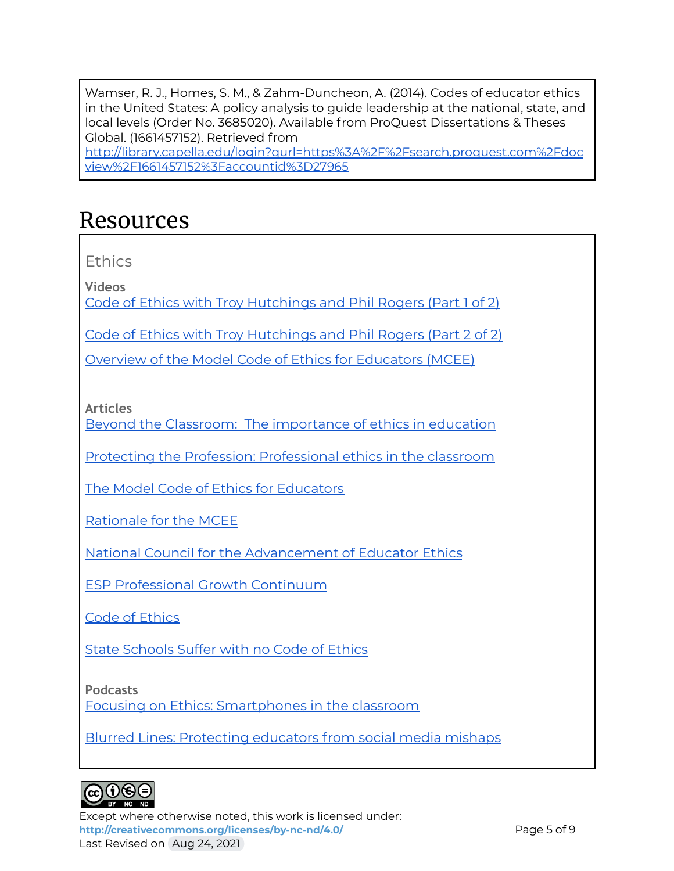Wamser, R. J., Homes, S. M., & Zahm-Duncheon, A. (2014). Codes of educator ethics in the United States: A policy analysis to guide leadership at the national, state, and local levels (Order No. 3685020). Available from ProQuest Dissertations & Theses Global. (1661457152). Retrieved from

[http://library.capella.edu/login?qurl=https%3A%2F%2Fsearch.proquest.com%2Fdoc](http://library.capella.edu/login?qurl=https%3A%2F%2Fsearch.proquest.com%2Fdocview%2F1661457152%3Faccountid%3D27965) [view%2F1661457152%3Faccountid%3D27965](http://library.capella.edu/login?qurl=https%3A%2F%2Fsearch.proquest.com%2Fdocview%2F1661457152%3Faccountid%3D27965)

### Resources

Ethics

**Videos**

Code of Ethics with Troy [Hutchings](https://vimeo.com/263466346) and Phil Rogers (Part 1 of 2)

Code of Ethics with Troy [Hutchings](https://vimeo.com/262153068) and Phil Rogers (Part 2 of 2)

Overview of the Model Code of Ethics for [Educators](https://vimeo.com/299747017) (MCEE)

**Articles**

Beyond the Classroom: The [importance](https://www.miamiherald.com/news/local/community/miami-dade/community-voices/article17030966.html) of ethics in education

Protecting the Profession: [Professional](https://www.ets.org/s/proethica/pdf/real-clear-articles.pdf) ethics in the classroom

The Model Code of Ethics for [Educators](https://www.nasdtec.net/page/MCEE_Doc)

[Rationale](https://www.nasdtec.net/page/MCEE_Rationale) for the MCEE

National Council for the [Advancement](https://www.nasdtec.net/page/NCAEE_Landing) of Educator Ethics

ESP [Professional](http://www.nea.org/assets/docs/ESP_PGC_digital.pdf) Growth Continuum

Code of [Ethics](http://www.nea.org/home/30442.htm)

State [Schools](https://www.postcrescent.com/story/news/education/2016/07/25/code-ethics-missing-wisconsin-schools/79370316/) Suffer with no Code of Ethics

**Podcasts**

Focusing on Ethics: [Smartphones](https://www.podbean.com/media/share/pb-ksw6r-aca2db?utm_campaign=w_share_ep&utm_medium=dlink&utm_source=w_share) in the classroom

Blurred Lines: [Protecting](https://www.podbean.com/media/share/pb-3fyuv-aa9542?utm_campaign=u_share_ep&utm_medium=dlink&utm_source=u_share) educators from social media mishaps



Except where otherwise noted, this work is licensed under: **<http://creativecommons.org/licenses/by-nc-nd/4.0/>** Page 5 of 9 Last Revised on Aug 24, 2021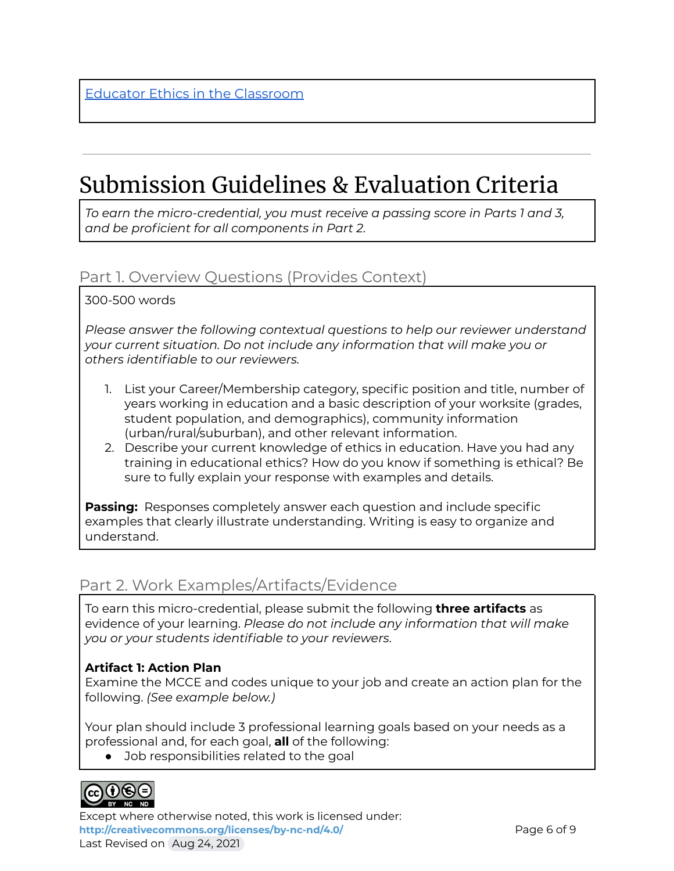### Submission Guidelines & Evaluation Criteria

*To earn the micro-credential, you must receive a passing score in Parts 1 and 3, and be proficient for all components in Part 2.*

#### Part 1. Overview Questions (Provides Context)

300-500 words

*Please answer the following contextual questions to help our reviewer understand your current situation. Do not include any information that will make you or others identifiable to our reviewers.*

- 1. List your Career/Membership category, specific position and title, number of years working in education and a basic description of your worksite (grades, student population, and demographics), community information (urban/rural/suburban), and other relevant information.
- 2. Describe your current knowledge of ethics in education. Have you had any training in educational ethics? How do you know if something is ethical? Be sure to fully explain your response with examples and details.

**Passing:** Responses completely answer each question and include specific examples that clearly illustrate understanding. Writing is easy to organize and understand.

### Part 2. Work Examples/Artifacts/Evidence

To earn this micro-credential, please submit the following **three artifacts** as evidence of your learning. *Please do not include any information that will make you or your students identifiable to your reviewers*.

#### **Artifact 1: Action Plan**

Examine the MCCE and codes unique to your job and create an action plan for the following. *(See example below.)*

Your plan should include 3 professional learning goals based on your needs as a professional and, for each goal, **all** of the following:

● Job responsibilities related to the goal



Except where otherwise noted, this work is licensed under: <http://creativecommons.org/licenses/by-nc-nd/4.0/><br>
Page 6 of 9 Last Revised on Aug 24, 2021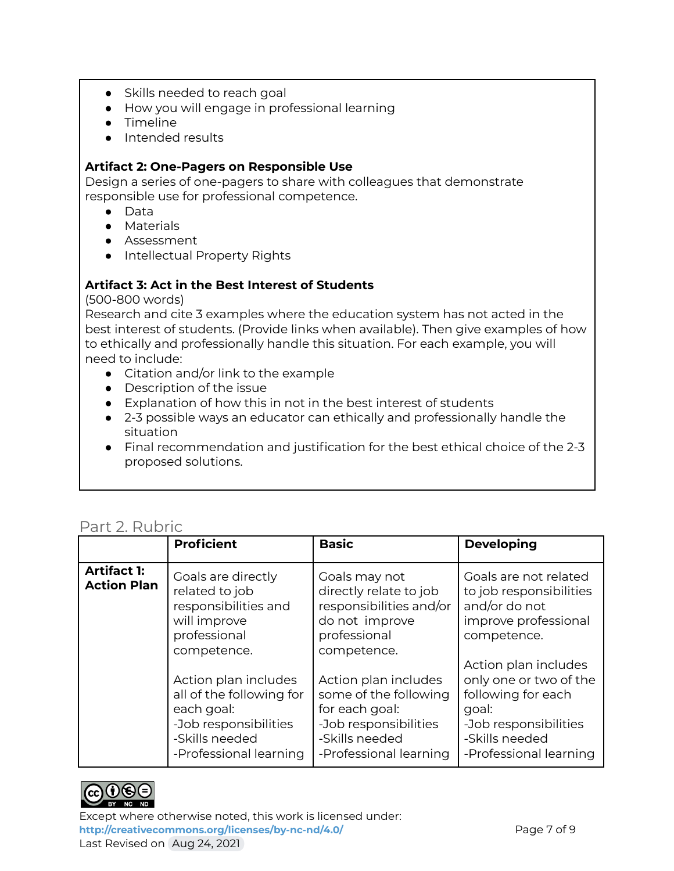- Skills needed to reach goal
- How you will engage in professional learning
- Timeline
- Intended results

#### **Artifact 2: One-Pagers on Responsible Use**

Design a series of one-pagers to share with colleagues that demonstrate responsible use for professional competence.

- Data
- Materials
- Assessment
- Intellectual Property Rights

#### **Artifact 3: Act in the Best Interest of Students**

(500-800 words)

Research and cite 3 examples where the education system has not acted in the best interest of students. (Provide links when available). Then give examples of how to ethically and professionally handle this situation. For each example, you will need to include:

- Citation and/or link to the example
- Description of the issue
- Explanation of how this in not in the best interest of students
- 2-3 possible ways an educator can ethically and professionally handle the situation
- Final recommendation and justification for the best ethical choice of the 2-3 proposed solutions.

#### Part 2. Rubric

|                                          | <b>Proficient</b>                                                                                                                   | <b>Basic</b>                                                                                                                         | <b>Developing</b>                                                                                                                |
|------------------------------------------|-------------------------------------------------------------------------------------------------------------------------------------|--------------------------------------------------------------------------------------------------------------------------------------|----------------------------------------------------------------------------------------------------------------------------------|
| <b>Artifact 1:</b><br><b>Action Plan</b> | Goals are directly<br>related to job<br>responsibilities and<br>will improve<br>professional<br>competence.                         | Goals may not<br>directly relate to job<br>responsibilities and/or<br>do not improve<br>professional<br>competence.                  | Goals are not related<br>to job responsibilities<br>and/or do not<br>improve professional<br>competence.<br>Action plan includes |
|                                          | Action plan includes<br>all of the following for<br>each goal:<br>-Job responsibilities<br>-Skills needed<br>-Professional learning | Action plan includes<br>some of the following<br>for each goal:<br>-Job responsibilities<br>-Skills needed<br>-Professional learning | only one or two of the<br>following for each<br>goal:<br>-Job responsibilities<br>-Skills needed<br>-Professional learning       |



Except where otherwise noted, this work is licensed under: <http://creativecommons.org/licenses/by-nc-nd/4.0/> **Page 7 of 9** Last Revised on Aug 24, 2021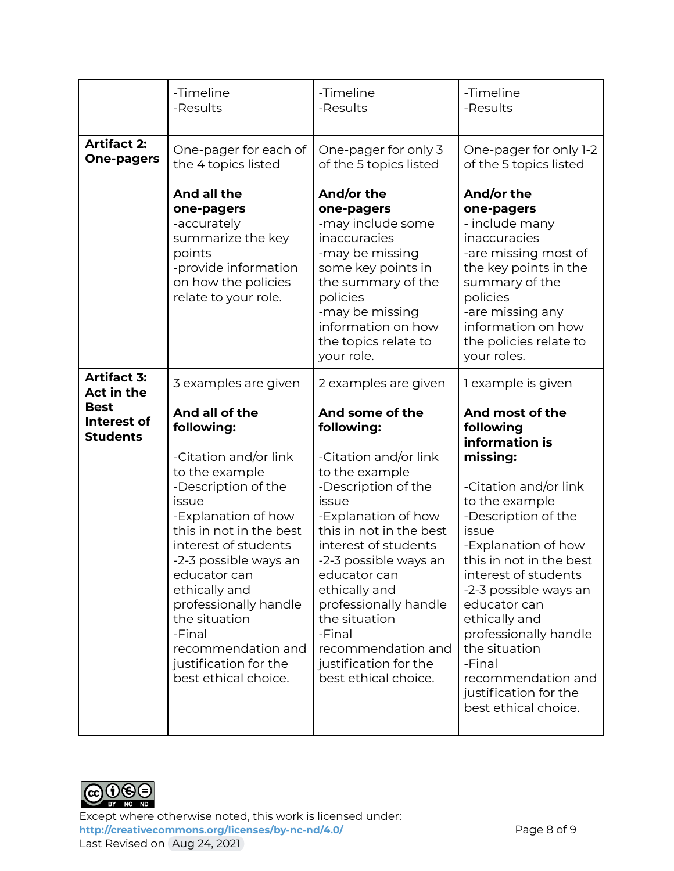|                                         | -Timeline<br>-Results                                                                                                                          | -Timeline<br>-Results                                                                                                                                                                                                   | -Timeline<br>-Results                                                                                                                                                                                                        |
|-----------------------------------------|------------------------------------------------------------------------------------------------------------------------------------------------|-------------------------------------------------------------------------------------------------------------------------------------------------------------------------------------------------------------------------|------------------------------------------------------------------------------------------------------------------------------------------------------------------------------------------------------------------------------|
| <b>Artifact 2:</b><br><b>One-pagers</b> | One-pager for each of<br>the 4 topics listed                                                                                                   | One-pager for only 3<br>of the 5 topics listed                                                                                                                                                                          | One-pager for only 1-2<br>of the 5 topics listed                                                                                                                                                                             |
|                                         | And all the<br>one-pagers<br>-accurately<br>summarize the key<br>points<br>-provide information<br>on how the policies<br>relate to your role. | And/or the<br>one-pagers<br>-may include some<br>inaccuracies<br>-may be missing<br>some key points in<br>the summary of the<br>policies<br>-may be missing<br>information on how<br>the topics relate to<br>your role. | And/or the<br>one-pagers<br>- include many<br>inaccuracies<br>-are missing most of<br>the key points in the<br>summary of the<br>policies<br>-are missing any<br>information on how<br>the policies relate to<br>your roles. |
| <b>Artifact 3:</b><br>Act in the        | 3 examples are given                                                                                                                           | 2 examples are given                                                                                                                                                                                                    | 1 example is given                                                                                                                                                                                                           |
| <b>Best</b>                             |                                                                                                                                                |                                                                                                                                                                                                                         |                                                                                                                                                                                                                              |
| Interest of<br><b>Students</b>          | And all of the<br>following:                                                                                                                   | And some of the<br>following:                                                                                                                                                                                           | And most of the<br>following<br>information is                                                                                                                                                                               |



Except where otherwise noted, this work is licensed under: <http://creativecommons.org/licenses/by-nc-nd/4.0/><br>
Page 8 of 9 Last Revised on Aug 24, 2021